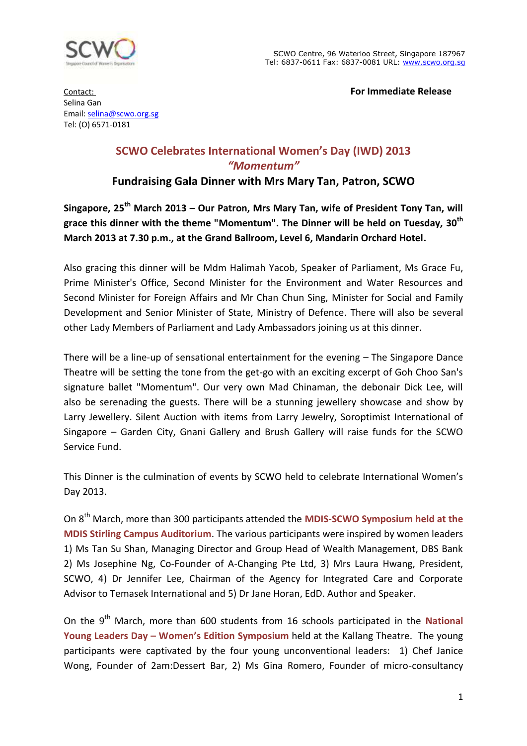

Contact: **For Immediate Release**

Selina Gan Email: [selina@scwo.org.sg](mailto:selina@scwo.org.sg) Tel: (O) 6571-0181

# **SCWO Celebrates International Women's Day (IWD) 2013** *"Momentum"*

## **Fundraising Gala Dinner with Mrs Mary Tan, Patron, SCWO**

**Singapore, 25th March 2013 – Our Patron, Mrs Mary Tan, wife of President Tony Tan, will grace this dinner with the theme "Momentum". The Dinner will be held on Tuesday, 30 th March 2013 at 7.30 p.m., at the Grand Ballroom, Level 6, Mandarin Orchard Hotel.**

Also gracing this dinner will be Mdm Halimah Yacob, Speaker of Parliament, Ms Grace Fu, Prime Minister's Office, Second Minister for the Environment and Water Resources and Second Minister for Foreign Affairs and Mr Chan Chun Sing, Minister for Social and Family Development and Senior Minister of State, Ministry of Defence. There will also be several other Lady Members of Parliament and Lady Ambassadors joining us at this dinner.

There will be a line-up of sensational entertainment for the evening – The Singapore Dance Theatre will be setting the tone from the get-go with an exciting excerpt of Goh Choo San's signature ballet "Momentum". Our very own Mad Chinaman, the debonair Dick Lee, will also be serenading the guests. There will be a stunning jewellery showcase and show by Larry Jewellery. Silent Auction with items from Larry Jewelry, Soroptimist International of Singapore – Garden City, Gnani Gallery and Brush Gallery will raise funds for the SCWO Service Fund.

This Dinner is the culmination of events by SCWO held to celebrate International Women's Day 2013.

On 8th March, more than 300 participants attended the **MDIS-SCWO Symposium held at the MDIS Stirling Campus Auditorium**. The various participants were inspired by women leaders 1) Ms Tan Su Shan, Managing Director and Group Head of Wealth Management, DBS Bank 2) Ms Josephine Ng, Co-Founder of A-Changing Pte Ltd, 3) Mrs Laura Hwang, President, SCWO, 4) Dr Jennifer Lee, Chairman of the Agency for Integrated Care and Corporate Advisor to Temasek International and 5) Dr Jane Horan, EdD. Author and Speaker.

On the 9<sup>th</sup> March, more than 600 students from 16 schools participated in the **National Young Leaders Day – Women's Edition Symposium** held at the Kallang Theatre. The young participants were captivated by the four young unconventional leaders: 1) Chef Janice Wong, Founder of 2am:Dessert Bar, 2) Ms Gina Romero, Founder of micro-consultancy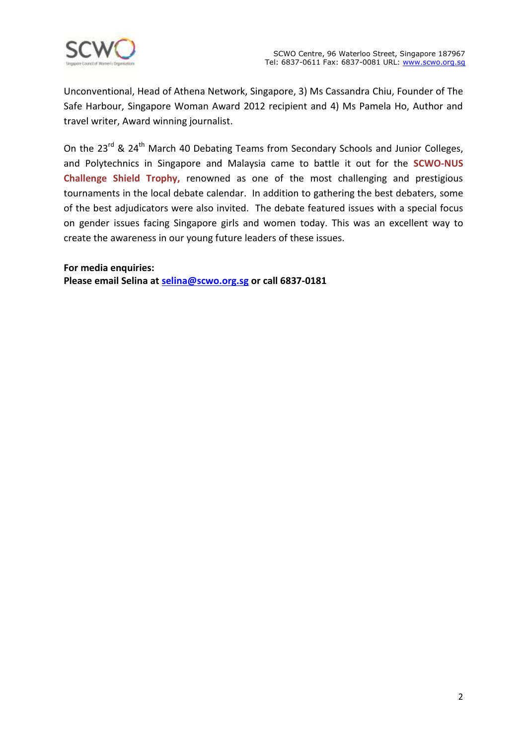

Unconventional, Head of Athena Network, Singapore, 3) Ms Cassandra Chiu, Founder of The Safe Harbour, Singapore Woman Award 2012 recipient and 4) Ms Pamela Ho, Author and travel writer, Award winning journalist.

On the 23<sup>rd</sup> & 24<sup>th</sup> March 40 Debating Teams from Secondary Schools and Junior Colleges, and Polytechnics in Singapore and Malaysia came to battle it out for the **SCWO-NUS Challenge Shield Trophy,** renowned as one of the most challenging and prestigious tournaments in the local debate calendar. In addition to gathering the best debaters, some of the best adjudicators were also invited. The debate featured issues with a special focus on gender issues facing Singapore girls and women today. This was an excellent way to create the awareness in our young future leaders of these issues.

**For media enquiries: Please email Selina at [selina@scwo.org.sg](mailto:selina@scwo.org.sg) or call 6837-0181**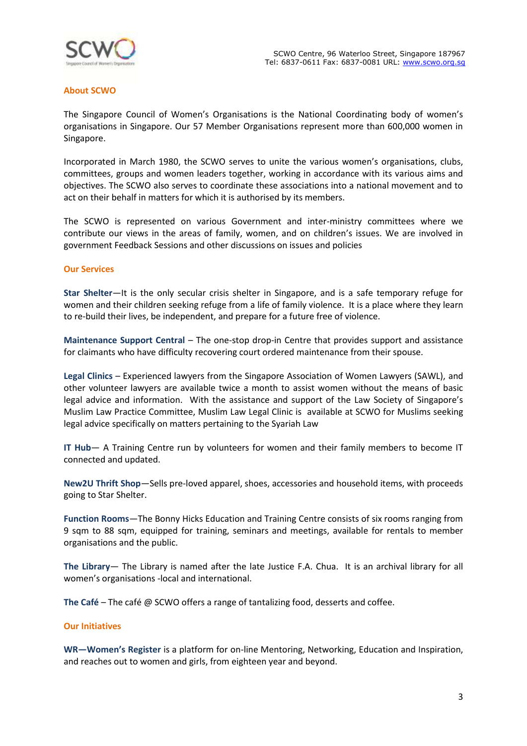

## **About SCWO**

The Singapore Council of Women's Organisations is the National Coordinating body of women's organisations in Singapore. Our 57 Member Organisations represent more than 600,000 women in Singapore.

Incorporated in March 1980, the SCWO serves to unite the various women's organisations, clubs, committees, groups and women leaders together, working in accordance with its various aims and objectives. The SCWO also serves to coordinate these associations into a national movement and to act on their behalf in matters for which it is authorised by its members.

The SCWO is represented on various Government and inter-ministry committees where we contribute our views in the areas of family, women, and on children's issues. We are involved in government Feedback Sessions and other discussions on issues and policies

## **Our Services**

**Star Shelter**—It is the only secular crisis shelter in Singapore, and is a safe temporary refuge for women and their children seeking refuge from a life of family violence. It is a place where they learn to re-build their lives, be independent, and prepare for a future free of violence.

**Maintenance Support Central** – The one-stop drop-in Centre that provides support and assistance for claimants who have difficulty recovering court ordered maintenance from their spouse.

**Legal Clinics** – Experienced lawyers from the Singapore Association of Women Lawyers (SAWL), and other volunteer lawyers are available twice a month to assist women without the means of basic legal advice and information. With the assistance and support of the Law Society of Singapore's Muslim Law Practice Committee, Muslim Law Legal Clinic is available at SCWO for Muslims seeking legal advice specifically on matters pertaining to the Syariah Law

**IT Hub**— A Training Centre run by volunteers for women and their family members to become IT connected and updated.

**New2U Thrift Shop**—Sells pre-loved apparel, shoes, accessories and household items, with proceeds going to Star Shelter.

**Function Rooms**—The Bonny Hicks Education and Training Centre consists of six rooms ranging from 9 sqm to 88 sqm, equipped for training, seminars and meetings, available for rentals to member organisations and the public.

**The Library**— The Library is named after the late Justice F.A. Chua. It is an archival library for all women's organisations -local and international.

**The Café** – The café @ SCWO offers a range of tantalizing food, desserts and coffee.

## **Our Initiatives**

**WR—Women's Register** is a platform for on-line Mentoring, Networking, Education and Inspiration, and reaches out to women and girls, from eighteen year and beyond.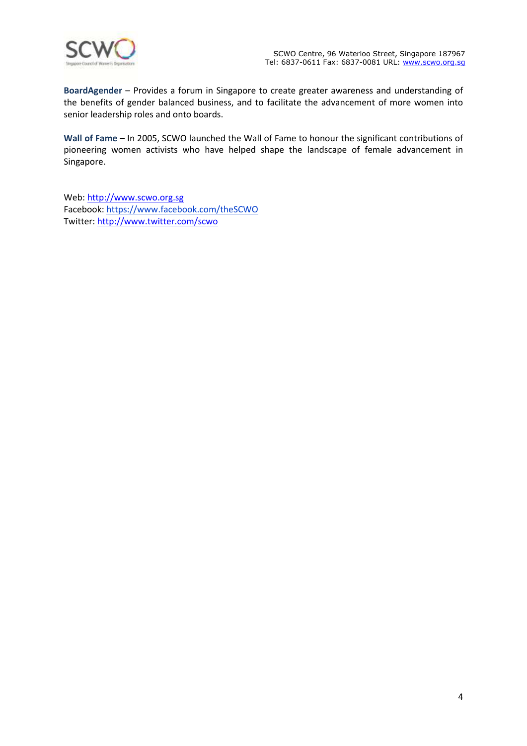

**BoardAgender** – Provides a forum in Singapore to create greater awareness and understanding of the benefits of gender balanced business, and to facilitate the advancement of more women into senior leadership roles and onto boards.

**Wall of Fame** – In 2005, SCWO launched the Wall of Fame to honour the significant contributions of pioneering women activists who have helped shape the landscape of female advancement in Singapore.

Web[: http://www.scwo.org.sg](http://www.scwo.org.sg/) Facebook: https://www.facebook.com/theSCWO Twitter: <http://www.twitter.com/scwo>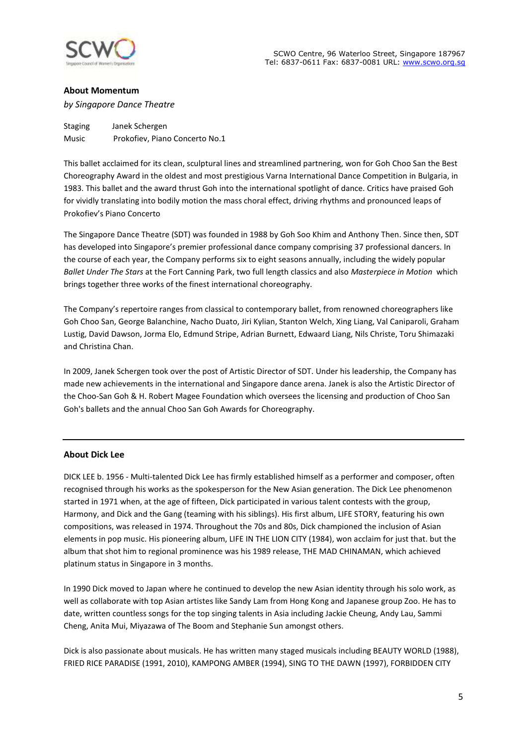

## **About Momentum**

*by Singapore Dance Theatre*

Staging Janek Schergen Music Prokofiev, Piano Concerto No.1

This ballet acclaimed for its clean, sculptural lines and streamlined partnering, won for Goh Choo San the Best Choreography Award in the oldest and most prestigious Varna International Dance Competition in Bulgaria, in 1983. This ballet and the award thrust Goh into the international spotlight of dance. Critics have praised Goh for vividly translating into bodily motion the mass choral effect, driving rhythms and pronounced leaps of Prokofiev's Piano Concerto

The Singapore Dance Theatre (SDT) was founded in 1988 by Goh Soo Khim and Anthony Then. Since then, SDT has developed into Singapore's premier professional dance company comprising 37 professional dancers. In the course of each year, the Company performs six to eight seasons annually, including the widely popular *Ballet Under The Stars* at the Fort Canning Park, two full length classics and also *Masterpiece in Motion* which brings together three works of the finest international choreography.

The Company's repertoire ranges from classical to contemporary ballet, from renowned choreographers like Goh Choo San, George Balanchine, Nacho Duato, Jiri Kylian, Stanton Welch, Xing Liang, Val Caniparoli, Graham Lustig, David Dawson, Jorma Elo, Edmund Stripe, Adrian Burnett, Edwaard Liang, Nils Christe, Toru Shimazaki and Christina Chan.

In 2009, Janek Schergen took over the post of Artistic Director of SDT. Under his leadership, the Company has made new achievements in the international and Singapore dance arena. Janek is also the Artistic Director of the Choo-San Goh & H. Robert Magee Foundation which oversees the licensing and production of Choo San Goh's ballets and the annual Choo San Goh Awards for Choreography.

## **About Dick Lee**

DICK LEE b. 1956 - Multi-talented Dick Lee has firmly established himself as a performer and composer, often recognised through his works as the spokesperson for the New Asian generation. The Dick Lee phenomenon started in 1971 when, at the age of fifteen, Dick participated in various talent contests with the group, Harmony, and Dick and the Gang (teaming with his siblings). His first album, LIFE STORY, featuring his own compositions, was released in 1974. Throughout the 70s and 80s, Dick championed the inclusion of Asian elements in pop music. His pioneering album, LIFE IN THE LION CITY (1984), won acclaim for just that. but the album that shot him to regional prominence was his 1989 release, THE MAD CHINAMAN, which achieved platinum status in Singapore in 3 months.

In 1990 Dick moved to Japan where he continued to develop the new Asian identity through his solo work, as well as collaborate with top Asian artistes like Sandy Lam from Hong Kong and Japanese group Zoo. He has to date, written countless songs for the top singing talents in Asia including Jackie Cheung, Andy Lau, Sammi Cheng, Anita Mui, Miyazawa of The Boom and Stephanie Sun amongst others.

Dick is also passionate about musicals. He has written many staged musicals including BEAUTY WORLD (1988), FRIED RICE PARADISE (1991, 2010), KAMPONG AMBER (1994), SING TO THE DAWN (1997), FORBIDDEN CITY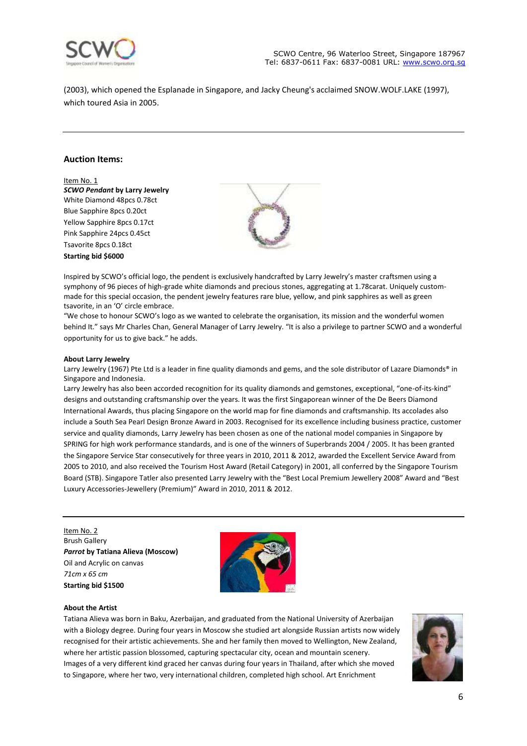

(2003), which opened the Esplanade in Singapore, and Jacky Cheung's acclaimed SNOW.WOLF.LAKE (1997), which toured Asia in 2005.

## **Auction Items:**

Item No. 1 *SCWO Pendant* **by Larry Jewelry** White Diamond 48pcs 0.78ct Blue Sapphire 8pcs 0.20ct Yellow Sapphire 8pcs 0.17ct Pink Sapphire 24pcs 0.45ct Tsavorite 8pcs 0.18ct **Starting bid \$6000**



Inspired by SCWO's official logo, the pendent is exclusively handcrafted by Larry Jewelry's master craftsmen using a symphony of 96 pieces of high-grade white diamonds and precious stones, aggregating at 1.78carat. Uniquely custommade for this special occasion, the pendent jewelry features rare blue, yellow, and pink sapphires as well as green tsavorite, in an 'O' circle embrace.

"We chose to honour SCWO's logo as we wanted to celebrate the organisation, its mission and the wonderful women behind It." says Mr Charles Chan, General Manager of Larry Jewelry. "It is also a privilege to partner SCWO and a wonderful opportunity for us to give back." he adds.

#### **About Larry Jewelry**

Larry Jewelry (1967) Pte Ltd is a leader in fine quality diamonds and gems, and the sole distributor of Lazare Diamonds® in Singapore and Indonesia.

Larry Jewelry has also been accorded recognition for its quality diamonds and gemstones, exceptional, "one-of-its-kind" designs and outstanding craftsmanship over the years. It was the first Singaporean winner of the De Beers Diamond International Awards, thus placing Singapore on the world map for fine diamonds and craftsmanship. Its accolades also include a South Sea Pearl Design Bronze Award in 2003. Recognised for its excellence including business practice, customer service and quality diamonds, Larry Jewelry has been chosen as one of the national model companies in Singapore by SPRING for high work performance standards, and is one of the winners of Superbrands 2004 / 2005. It has been granted the Singapore Service Star consecutively for three years in 2010, 2011 & 2012, awarded the Excellent Service Award from 2005 to 2010, and also received the Tourism Host Award (Retail Category) in 2001, all conferred by the Singapore Tourism Board (STB). Singapore Tatler also presented Larry Jewelry with the "Best Local Premium Jewellery 2008" Award and "Best Luxury Accessories-Jewellery (Premium)" Award in 2010, 2011 & 2012.

Item No. 2 Brush Gallery *Parrot* **by Tatiana Alieva (Moscow)** Oil and Acrylic on canvas *71cm x 65 cm* **Starting bid \$1500**



### **About the Artist**

Tatiana Alieva was born in Baku, Azerbaijan, and graduated from the National University of Azerbaijan with a Biology degree. During four years in Moscow she studied art alongside Russian artists now widely recognised for their artistic achievements. She and her family then moved to Wellington, New Zealand, where her artistic passion blossomed, capturing spectacular city, ocean and mountain scenery. Images of a very different kind graced her canvas during four years in Thailand, after which she moved to Singapore, where her two, very international children, completed high school. Art Enrichment

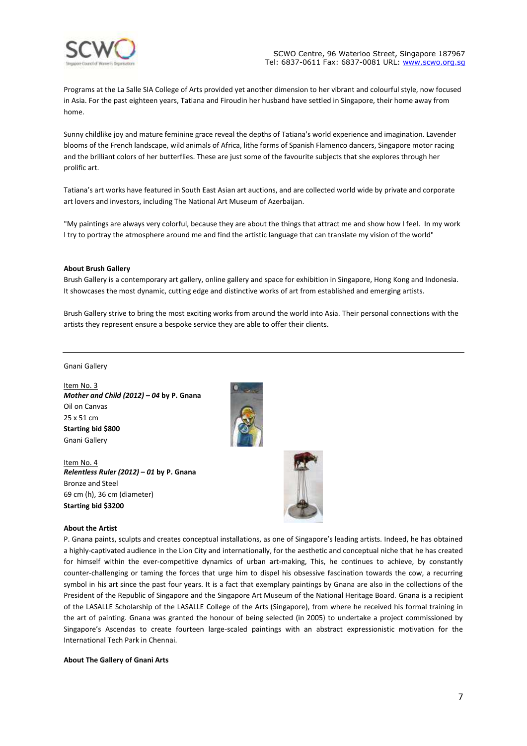

SCWO Centre, 96 Waterloo Street, Singapore 187967 Tel: 6837-0611 Fax: 6837-0081 URL: [www.scwo.org.sg](http://www.scwo.org.sg/)

Programs at the La Salle SIA College of Arts provided yet another dimension to her vibrant and colourful style, now focused in Asia. For the past eighteen years, Tatiana and Firoudin her husband have settled in Singapore, their home away from home.

Sunny childlike joy and mature feminine grace reveal the depths of Tatiana's world experience and imagination. Lavender blooms of the French landscape, wild animals of Africa, lithe forms of Spanish Flamenco dancers, Singapore motor racing and the brilliant colors of her butterflies. These are just some of the favourite subjects that she explores through her prolific art.

Tatiana's art works have featured in South East Asian art auctions, and are collected world wide by private and corporate art lovers and investors, including The National Art Museum of Azerbaijan.

"My paintings are always very colorful, because they are about the things that attract me and show how I feel. In my work I try to portray the atmosphere around me and find the artistic language that can translate my vision of the world"

#### **About Brush Gallery**

Brush Gallery is a contemporary art gallery, online gallery and space for exhibition in Singapore, Hong Kong and Indonesia. It showcases the most dynamic, cutting edge and distinctive works of art from established and emerging artists.

Brush Gallery strive to bring the most exciting works from around the world into Asia. Their personal connections with the artists they represent ensure a bespoke service they are able to offer their clients.

#### Gnani Gallery

Item No. 3 *Mother and Child (2012) – 04* **by P. Gnana** Oil on Canvas 25 x 51 cm **Starting bid \$800** Gnani Gallery

Item No. 4 *Relentless Ruler (2012) – 01* **by P. Gnana** Bronze and Steel 69 cm (h), 36 cm (diameter) **Starting bid \$3200**



# **About the Artist**

P. Gnana paints, sculpts and creates conceptual installations, as one of Singapore's leading artists. Indeed, he has obtained a highly-captivated audience in the Lion City and internationally, for the aesthetic and conceptual niche that he has created for himself within the ever-competitive dynamics of urban art-making, This, he continues to achieve, by constantly counter-challenging or taming the forces that urge him to dispel his obsessive fascination towards the cow, a recurring symbol in his art since the past four years. It is a fact that exemplary paintings by Gnana are also in the collections of the President of the Republic of Singapore and the Singapore Art Museum of the National Heritage Board. Gnana is a recipient of the LASALLE Scholarship of the LASALLE College of the Arts (Singapore), from where he received his formal training in the art of painting. Gnana was granted the honour of being selected (in 2005) to undertake a project commissioned by Singapore's Ascendas to create fourteen large-scaled paintings with an abstract expressionistic motivation for the International Tech Park in Chennai.

### **About The Gallery of Gnani Arts**